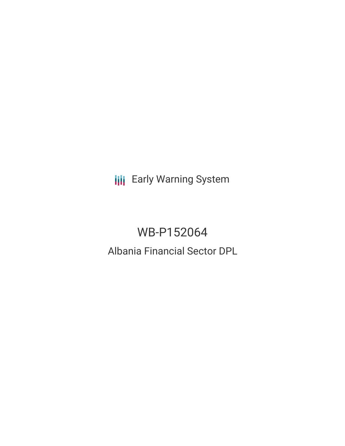**III** Early Warning System

# WB-P152064

## Albania Financial Sector DPL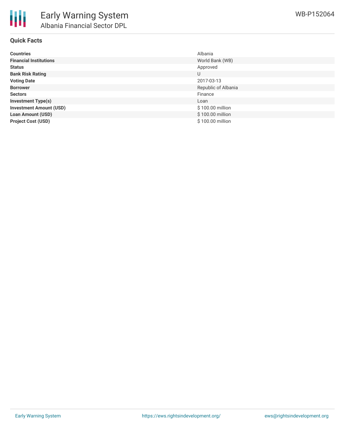

#### **Quick Facts**

| <b>Countries</b>               | Albania             |
|--------------------------------|---------------------|
| <b>Financial Institutions</b>  | World Bank (WB)     |
| <b>Status</b>                  | Approved            |
| <b>Bank Risk Rating</b>        | U                   |
| <b>Voting Date</b>             | 2017-03-13          |
| <b>Borrower</b>                | Republic of Albania |
| <b>Sectors</b>                 | Finance             |
| <b>Investment Type(s)</b>      | Loan                |
| <b>Investment Amount (USD)</b> | \$100.00 million    |
| <b>Loan Amount (USD)</b>       | \$100.00 million    |
| <b>Project Cost (USD)</b>      | \$100.00 million    |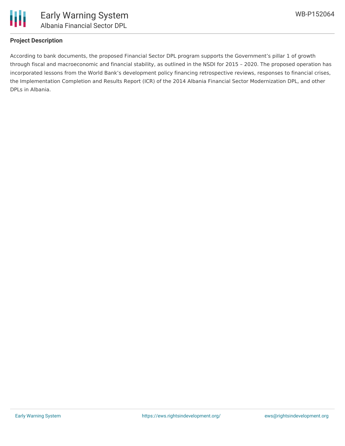

#### **Project Description**

According to bank documents, the proposed Financial Sector DPL program supports the Government's pillar 1 of growth through fiscal and macroeconomic and financial stability, as outlined in the NSDI for 2015 – 2020. The proposed operation has incorporated lessons from the World Bank's development policy financing retrospective reviews, responses to financial crises, the Implementation Completion and Results Report (ICR) of the 2014 Albania Financial Sector Modernization DPL, and other DPLs in Albania.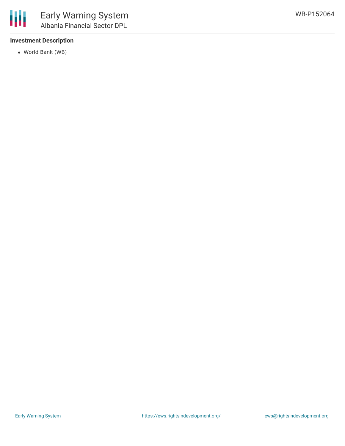#### **Investment Description**

World Bank (WB)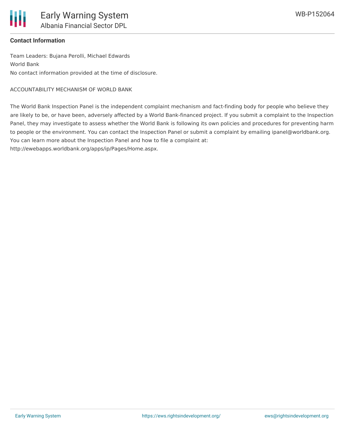

#### **Contact Information**

Team Leaders: Bujana Perolli, Michael Edwards World Bank No contact information provided at the time of disclosure.

#### ACCOUNTABILITY MECHANISM OF WORLD BANK

The World Bank Inspection Panel is the independent complaint mechanism and fact-finding body for people who believe they are likely to be, or have been, adversely affected by a World Bank-financed project. If you submit a complaint to the Inspection Panel, they may investigate to assess whether the World Bank is following its own policies and procedures for preventing harm to people or the environment. You can contact the Inspection Panel or submit a complaint by emailing ipanel@worldbank.org. You can learn more about the Inspection Panel and how to file a complaint at: http://ewebapps.worldbank.org/apps/ip/Pages/Home.aspx.